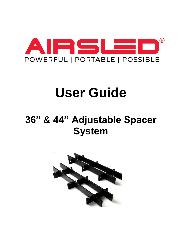

# **User Guide**

# **36" & 44" Adjustable Spacer System**